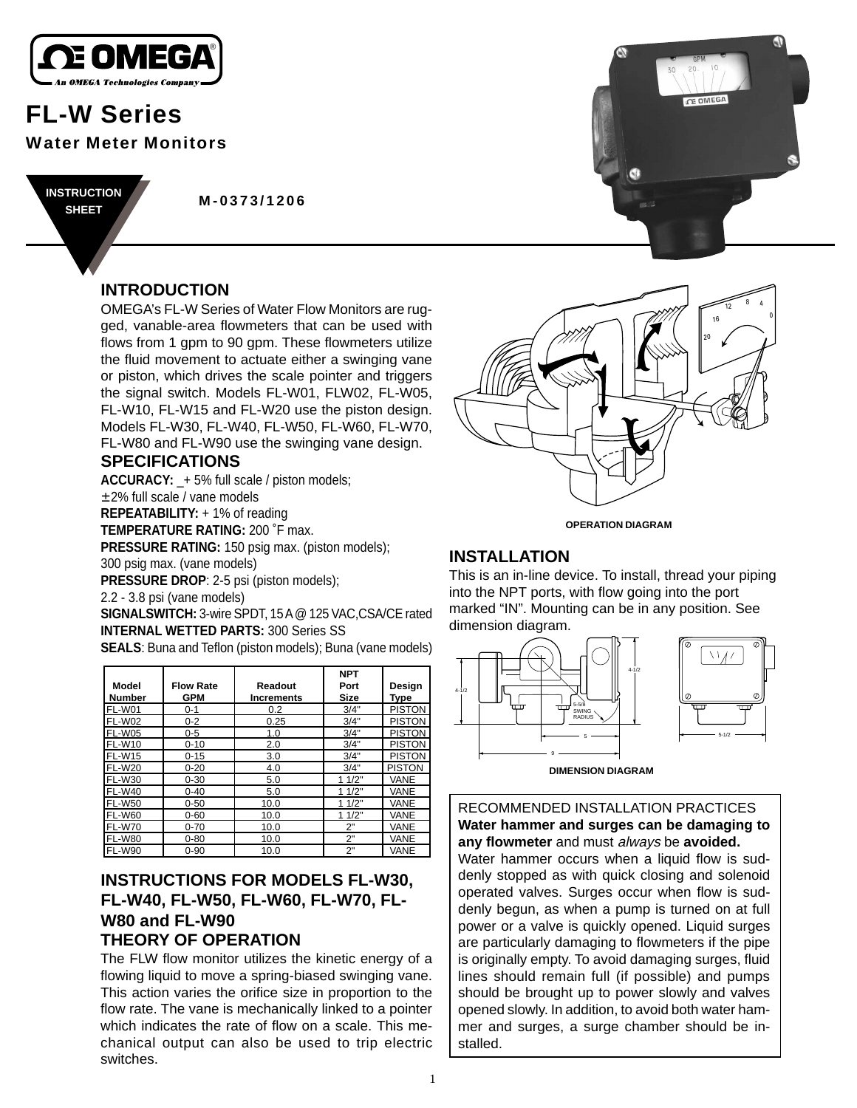

# **FL-W Series Water Meter Monitors**

**M-0373/1206 INSTRUCTION SHEET**

# **INTRODUCTION**

OMEGA's FL-W Series of Water Flow Monitors are rugged, vanable-area flowmeters that can be used with flows from 1 gpm to 90 gpm. These flowmeters utilize the fluid movement to actuate either a swinging vane or piston, which drives the scale pointer and triggers the signal switch. Models FL-W01, FLW02, FL-W05, FL-W10, FL-W15 and FL-W20 use the piston design. Models FL-W30, FL-W40, FL-W50, FL-W60, FL-W70, FL-W80 and FL-W90 use the swinging vane design.

## **SPECIFICATIONS**

**ACCURACY:** \_+ 5% full scale / piston models; ± 2% full scale / vane models **REPEATABILITY:** + 1% of reading **TEMPERATURE RATING:** 200 ˚F max. **PRESSURE RATING:** 150 psig max. (piston models); 300 psig max. (vane models) **PRESSURE DROP**: 2-5 psi (piston models);

2.2 - 3.8 psi (vane models)

**SIGNALSWITCH:** 3-wire SPDT, 15 A @ 125 VAC,CSA/CE rated **INTERNAL WETTED PARTS:** 300 Series SS

**SEALS**: Buna and Teflon (piston models); Buna (vane models)

| Model<br><b>Number</b> | <b>Flow Rate</b><br><b>GPM</b> | Readout<br><b>Increments</b> | <b>NPT</b><br>Port<br>Size | Design<br>Type |
|------------------------|--------------------------------|------------------------------|----------------------------|----------------|
| FL-W01                 | $0 - 1$                        | 0.2                          | 3/4"                       | <b>PISTON</b>  |
| FL-W02                 | $0 - 2$                        | 0.25                         | 3/4"                       | <b>PISTON</b>  |
| <b>FL-W05</b>          | $0 - 5$                        | 1.0                          | 3/4"                       | <b>PISTON</b>  |
| <b>FL-W10</b>          | $0 - 10$                       | 2.0                          | 3/4"                       | <b>PISTON</b>  |
| <b>FL-W15</b>          | $0 - 15$                       | 3.0                          | 3/4"                       | <b>PISTON</b>  |
| <b>FL-W20</b>          | $0 - 20$                       | 4.0                          | 3/4"                       | <b>PISTON</b>  |
| <b>FL-W30</b>          | $0 - 30$                       | 5.0                          | 11/2"                      | VANE           |
| <b>FL-W40</b>          | $0 - 40$                       | 5.0                          | 11/2"                      | VANE           |
| <b>FL-W50</b>          | $0 - 50$                       | 10.0                         | 11/2"                      | VANE           |
| <b>FL-W60</b>          | $0 - 60$                       | 10.0                         | 11/2"                      | VANE           |
| <b>FL-W70</b>          | $0 - 70$                       | 10.0                         | 2"                         | VANE           |
| <b>FL-W80</b>          | $0 - 80$                       | 10.0                         | 2"                         | VANE           |
| <b>FL-W90</b>          | $0 - 90$                       | 10.0                         | 2"                         | VANE           |

# **INSTRUCTIONS FOR MODELS FL-W30, FL-W40, FL-W50, FL-W60, FL-W70, FL-W80 and FL-W90 THEORY OF OPERATION**

The FLW flow monitor utilizes the kinetic energy of a flowing liquid to move a spring-biased swinging vane. This action varies the orifice size in proportion to the flow rate. The vane is mechanically linked to a pointer which indicates the rate of flow on a scale. This mechanical output can also be used to trip electric switches.





**OPERATION DIAGRAM**

## **INSTALLATION**

This is an in-line device. To install, thread your piping into the NPT ports, with flow going into the port marked "IN". Mounting can be in any position. See dimension diagram.



**DIMENSION DIAGRAM**

## RECOMMENDED INSTALLATION PRACTICES **Water hammer and surges can be damaging to any flowmeter** and must always be **avoided.**

Water hammer occurs when a liquid flow is suddenly stopped as with quick closing and solenoid operated valves. Surges occur when flow is suddenly begun, as when a pump is turned on at full power or a valve is quickly opened. Liquid surges are particularly damaging to flowmeters if the pipe is originally empty. To avoid damaging surges, fluid lines should remain full (if possible) and pumps should be brought up to power slowly and valves opened slowly. In addition, to avoid both water hammer and surges, a surge chamber should be installed.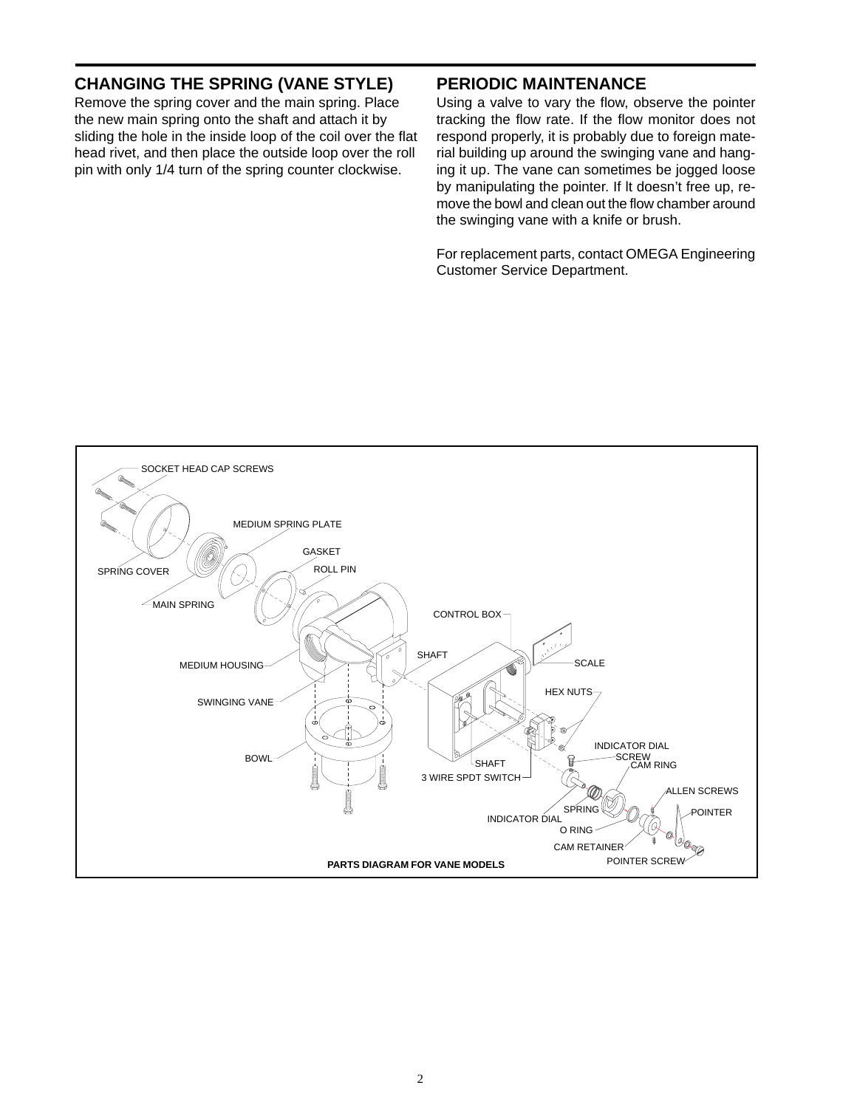# **CHANGING THE SPRING (VANE STYLE)**

Remove the spring cover and the main spring. Place the new main spring onto the shaft and attach it by sliding the hole in the inside loop of the coil over the flat head rivet, and then place the outside loop over the roll pin with only 1/4 turn of the spring counter clockwise.

## **PERIODIC MAINTENANCE**

Using a valve to vary the flow, observe the pointer tracking the flow rate. If the flow monitor does not respond properly, it is probably due to foreign material building up around the swinging vane and hanging it up. The vane can sometimes be jogged loose by manipulating the pointer. If lt doesn't free up, remove the bowl and clean out the flow chamber around the swinging vane with a knife or brush.

For replacement parts, contact OMEGA Engineering Customer Service Department.

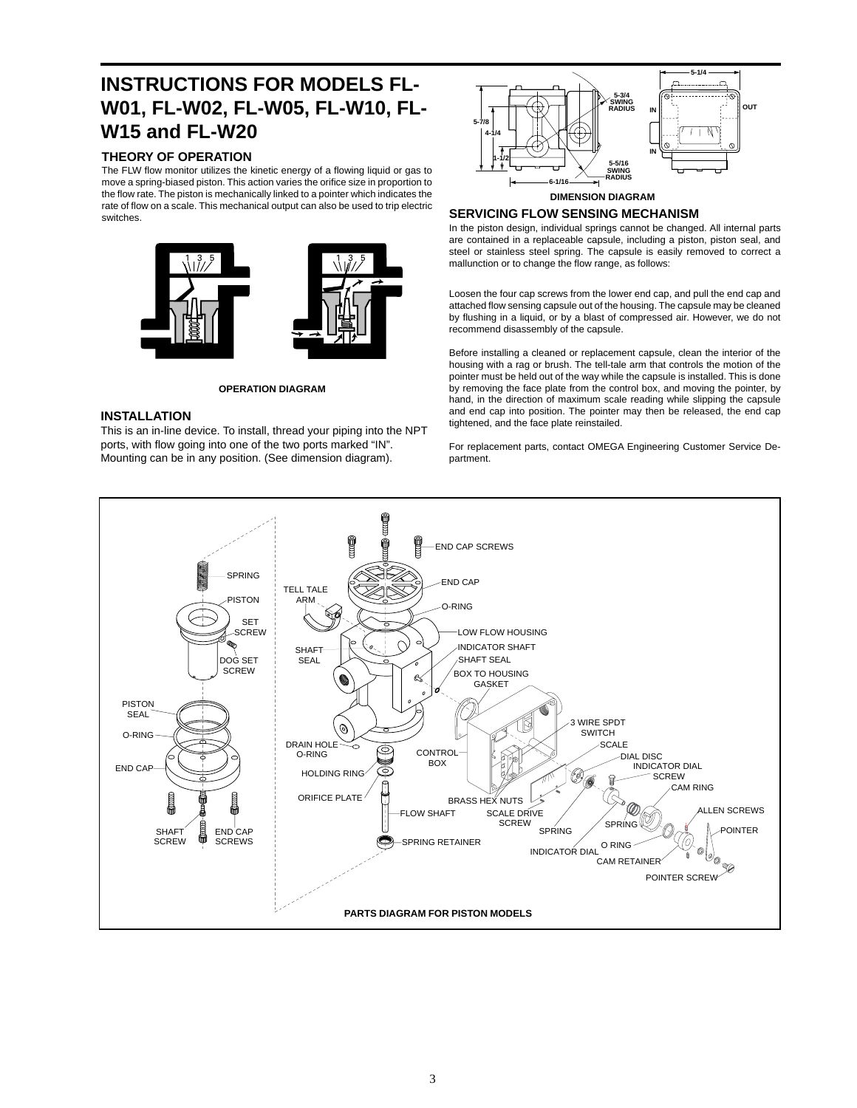# **INSTRUCTIONS FOR MODELS FL-W01, FL-W02, FL-W05, FL-W10, FL-W15 and FL-W20**

## **THEORY OF OPERATION**

The FLW flow monitor utilizes the kinetic energy of a flowing liquid or gas to move a spring-biased piston. This action varies the orifice size in proportion to the flow rate. The piston is mechanically linked to a pointer which indicates the rate of flow on a scale. This mechanical output can also be used to trip electric switches.



**OPERATION DIAGRAM**

### **INSTALLATION**

This is an in-line device. To install, thread your piping into the NPT ports, with flow going into one of the two ports marked "IN". Mounting can be in any position. (See dimension diagram).



#### **DIMENSION DIAGRAM**

#### **SERVICING FLOW SENSING MECHANISM**

In the piston design, individual springs cannot be changed. All internal parts are contained in a replaceable capsule, including a piston, piston seal, and steel or stainless steel spring. The capsule is easily removed to correct a mallunction or to change the flow range, as follows:

Loosen the four cap screws from the lower end cap, and pull the end cap and attached flow sensing capsule out of the housing. The capsule may be cleaned by flushing in a liquid, or by a blast of compressed air. However, we do not recommend disassembly of the capsule.

Before installing a cleaned or replacement capsule, clean the interior of the housing with a rag or brush. The tell-tale arm that controls the motion of the pointer must be held out of the way while the capsule is installed. This is done by removing the face plate from the control box, and moving the pointer, by hand, in the direction of maximum scale reading while slipping the capsule and end cap into position. The pointer may then be released, the end cap tightened, and the face plate reinstailed.

For replacement parts, contact OMEGA Engineering Customer Service Department.